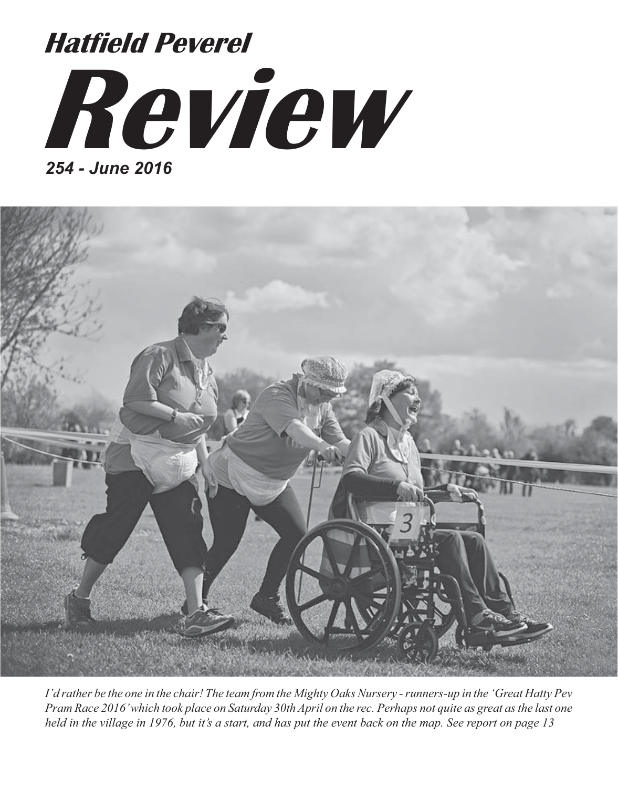



*I'd rather be the one in the chair! The team from the Mighty Oaks Nursery - runners-up in the 'Great Hatty Pev Pram Race 2016' which took place on Saturday 30th April on the rec. Perhaps not quite as great as the last one held in the village in 1976, but it's a start, and has put the event back on the map. See report on page 13*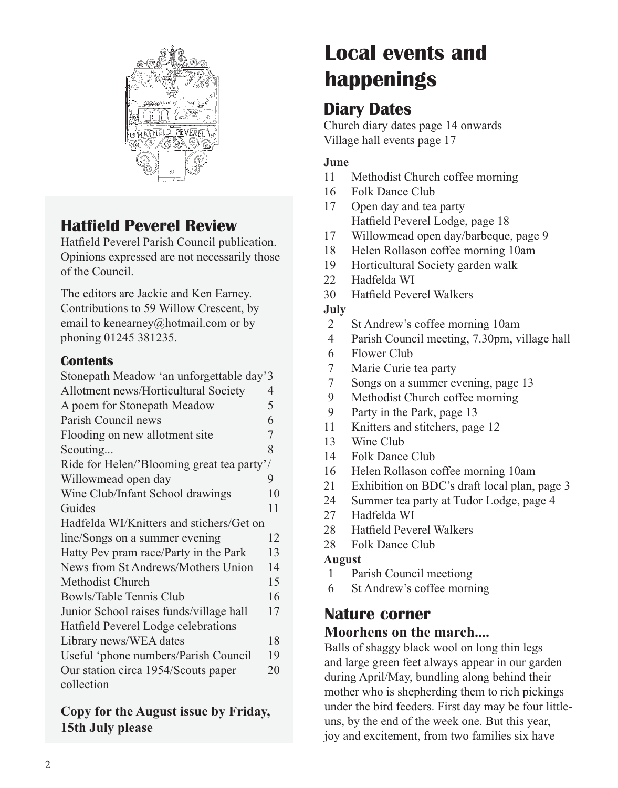

## **Hatfield Peverel Review**

Hatfield Peverel Parish Council publication. Opinions expressed are not necessarily those of the Council.

The editors are Jackie and Ken Earney. Contributions to 59 Willow Crescent, by email to kenearney@hotmail.com or by phoning 01245 381235.

#### **Contents**

| Stonepath Meadow 'an unforgettable day'3   |    |
|--------------------------------------------|----|
| Allotment news/Horticultural Society       | 4  |
| A poem for Stonepath Meadow                | 5  |
| Parish Council news                        | 6  |
| Flooding on new allotment site             | 7  |
| Scouting                                   | 8  |
| Ride for Helen/'Blooming great tea party'/ |    |
| Willowmead open day                        | 9  |
| Wine Club/Infant School drawings           | 10 |
| Guides                                     | 11 |
| Hadfelda WI/Knitters and stichers/Get on   |    |
| line/Songs on a summer evening             | 12 |
| Hatty Pev pram race/Party in the Park      | 13 |
| News from St Andrews/Mothers Union         | 14 |
| Methodist Church                           | 15 |
| Bowls/Table Tennis Club                    | 16 |
| Junior School raises funds/village hall    | 17 |
| Hatfield Peverel Lodge celebrations        |    |
| Library news/WEA dates                     | 18 |
| Useful 'phone numbers/Parish Council       | 19 |
| Our station circa 1954/Scouts paper        | 20 |
| collection                                 |    |
|                                            |    |

#### **Copy for the August issue by Friday, 15th July please**

# **Local events and happenings**

## **Diary Dates**

Church diary dates page 14 onwards Village hall events page 17

#### **June**

- 11 Methodist Church coffee morning
- 16 Folk Dance Club
- 17 Open day and tea party Hatfield Peverel Lodge, page 18
- 17 Willowmead open day/barbeque, page 9
- 18 Helen Rollason coffee morning 10am
- 19 Horticultural Society garden walk
- 22 Hadfelda WI
- 30 Hatfield Peverel Walkers

#### **July**

- 2 St Andrew's coffee morning 10am
- 4 Parish Council meeting, 7.30pm, village hall
- 6 Flower Club
- 7 Marie Curie tea party
- 7 Songs on a summer evening, page 13
- 9 Methodist Church coffee morning
- 9 Party in the Park, page 13
- 11 Knitters and stitchers, page 12
- 13 Wine Club
- 14 Folk Dance Club
- 16 Helen Rollason coffee morning 10am
- 21 Exhibition on BDC's draft local plan, page 3
- 24 Summer tea party at Tudor Lodge, page 4
- 27 Hadfelda WI
- 28 Hatfield Peverel Walkers
- 28 Folk Dance Club

#### **August**

- 1 Parish Council meetiong
- 6 St Andrew's coffee morning

### **Nature corner**

#### **Moorhens on the march....**

Balls of shaggy black wool on long thin legs and large green feet always appear in our garden during April/May, bundling along behind their mother who is shepherding them to rich pickings under the bird feeders. First day may be four littleuns, by the end of the week one. But this year, joy and excitement, from two families six have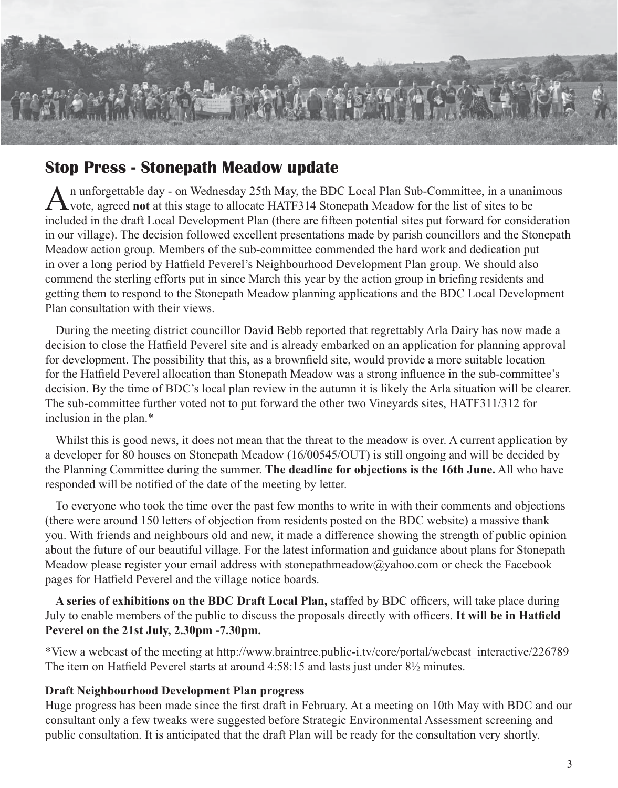

### **Stop Press - Stonepath Meadow update**

An unforgettable day - on Wednesday 25th May, the BDC Local Plan Sub-Committee, in a unanimous vote, agreed **not** at this stage to allocate HATF314 Stonepath Meadow for the list of sites to be included in the draft Local Development Plan (there are fifteen potential sites put forward for consideration in our village). The decision followed excellent presentations made by parish councillors and the Stonepath Meadow action group. Members of the sub-committee commended the hard work and dedication put in over a long period by Hatfield Peverel's Neighbourhood Development Plan group. We should also commend the sterling efforts put in since March this year by the action group in briefing residents and getting them to respond to the Stonepath Meadow planning applications and the BDC Local Development Plan consultation with their views.

During the meeting district councillor David Bebb reported that regrettably Arla Dairy has now made a decision to close the Hatfield Peverel site and is already embarked on an application for planning approval for development. The possibility that this, as a brownfield site, would provide a more suitable location for the Hatfield Peverel allocation than Stonepath Meadow was a strong influence in the sub-committee's decision. By the time of BDC's local plan review in the autumn it is likely the Arla situation will be clearer. The sub-committee further voted not to put forward the other two Vineyards sites, HATF311/312 for inclusion in the plan.\*

Whilst this is good news, it does not mean that the threat to the meadow is over. A current application by a developer for 80 houses on Stonepath Meadow (16/00545/OUT) is still ongoing and will be decided by the Planning Committee during the summer. **The deadline for objections is the 16th June.** All who have responded will be notified of the date of the meeting by letter.

To everyone who took the time over the past few months to write in with their comments and objections (there were around 150 letters of objection from residents posted on the BDC website) a massive thank you. With friends and neighbours old and new, it made a difference showing the strength of public opinion about the future of our beautiful village. For the latest information and guidance about plans for Stonepath Meadow please register your email address with stonepathmeadow $\omega$ yahoo.com or check the Facebook pages for Hatfield Peverel and the village notice boards.

**A series of exhibitions on the BDC Draft Local Plan,** staffed by BDC officers, will take place during July to enable members of the public to discuss the proposals directly with officers. **It will be in Hatfield Peverel on the 21st July, 2.30pm -7.30pm.**

\*View a webcast of the meeting at http://www.braintree.public-i.tv/core/portal/webcast\_interactive/226789 The item on Hatfield Peverel starts at around 4:58:15 and lasts just under 8½ minutes.

#### **Draft Neighbourhood Development Plan progress**

Huge progress has been made since the first draft in February. At a meeting on 10th May with BDC and our consultant only a few tweaks were suggested before Strategic Environmental Assessment screening and public consultation. It is anticipated that the draft Plan will be ready for the consultation very shortly.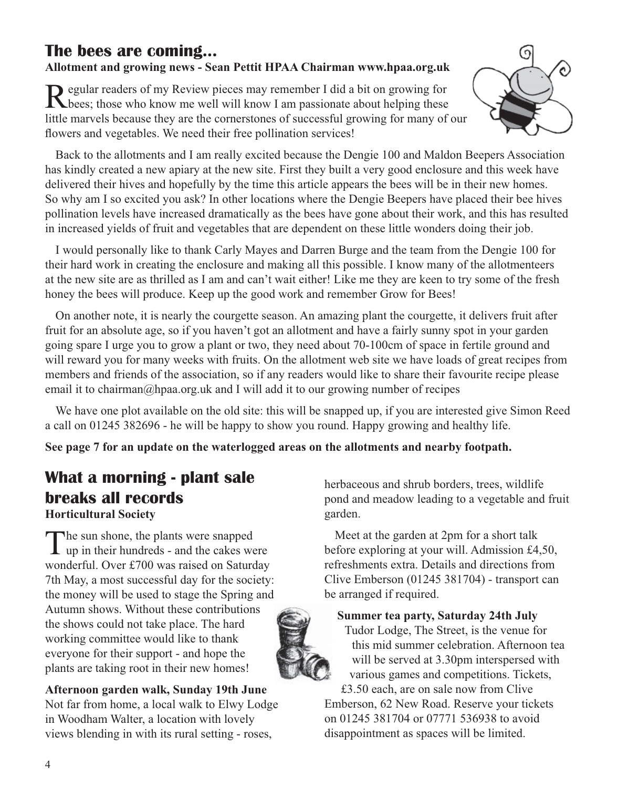## **The bees are coming...**

#### **Allotment and growing news - Sean Pettit HPAA Chairman www.hpaa.org.uk**

Regular readers of my Review pieces may remember I did a bit on growing for the bees; those who know me well will know I am passionate about helping these little marvels because they are the cornerstones of successful growing for many of our flowers and vegetables. We need their free pollination services!



Back to the allotments and I am really excited because the Dengie 100 and Maldon Beepers Association has kindly created a new apiary at the new site. First they built a very good enclosure and this week have delivered their hives and hopefully by the time this article appears the bees will be in their new homes. So why am I so excited you ask? In other locations where the Dengie Beepers have placed their bee hives pollination levels have increased dramatically as the bees have gone about their work, and this has resulted in increased yields of fruit and vegetables that are dependent on these little wonders doing their job.

I would personally like to thank Carly Mayes and Darren Burge and the team from the Dengie 100 for their hard work in creating the enclosure and making all this possible. I know many of the allotmenteers at the new site are as thrilled as I am and can't wait either! Like me they are keen to try some of the fresh honey the bees will produce. Keep up the good work and remember Grow for Bees!

On another note, it is nearly the courgette season. An amazing plant the courgette, it delivers fruit after fruit for an absolute age, so if you haven't got an allotment and have a fairly sunny spot in your garden going spare I urge you to grow a plant or two, they need about 70-100cm of space in fertile ground and will reward you for many weeks with fruits. On the allotment web site we have loads of great recipes from members and friends of the association, so if any readers would like to share their favourite recipe please email it to chairman@hpaa.org.uk and I will add it to our growing number of recipes

We have one plot available on the old site: this will be snapped up, if you are interested give Simon Reed a call on 01245 382696 - he will be happy to show you round. Happy growing and healthy life.

**See page 7 for an update on the waterlogged areas on the allotments and nearby footpath.**

### **What a morning - plant sale breaks all records Horticultural Society**

The sun shone, the plants were snapped<br>
up in their hundreds - and the cakes were wonderful. Over £700 was raised on Saturday 7th May, a most successful day for the society: the money will be used to stage the Spring and Autumn shows. Without these contributions the shows could not take place. The hard working committee would like to thank everyone for their support - and hope the plants are taking root in their new homes!

**Afternoon garden walk, Sunday 19th June** Not far from home, a local walk to Elwy Lodge in Woodham Walter, a location with lovely views blending in with its rural setting - roses,

herbaceous and shrub borders, trees, wildlife pond and meadow leading to a vegetable and fruit garden.

Meet at the garden at 2pm for a short talk before exploring at your will. Admission £4,50, refreshments extra. Details and directions from Clive Emberson (01245 381704) - transport can be arranged if required.

#### **Summer tea party, Saturday 24th July**

Tudor Lodge, The Street, is the venue for this mid summer celebration. Afternoon tea will be served at 3.30pm interspersed with various games and competitions. Tickets,

£3.50 each, are on sale now from Clive Emberson, 62 New Road. Reserve your tickets on 01245 381704 or 07771 536938 to avoid disappointment as spaces will be limited.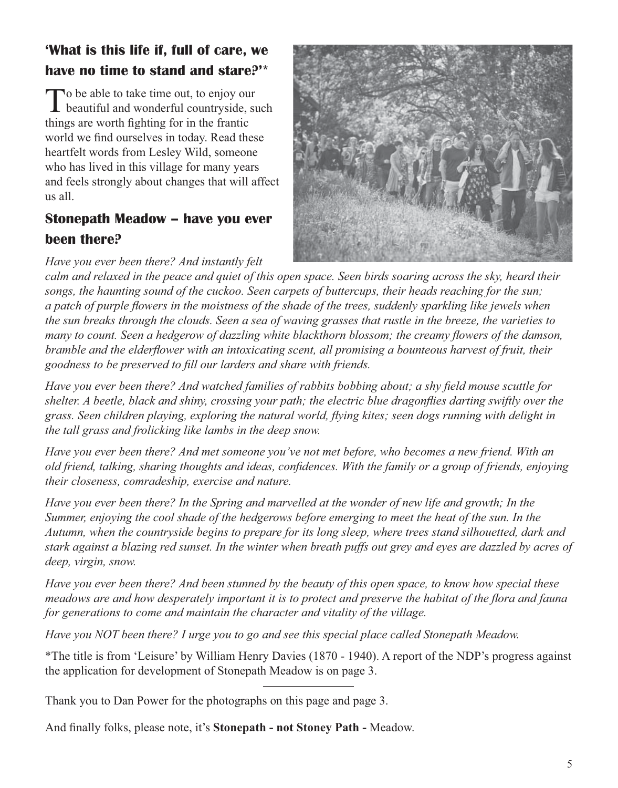## **'What is this life if, full of care, we have no time to stand and stare?'\***

To be able to take time out, to enjoy our<br>beautiful and wonderful countryside, such things are worth fighting for in the frantic world we find ourselves in today. Read these heartfelt words from Lesley Wild, someone who has lived in this village for many years and feels strongly about changes that will affect us all.

### **Stonepath Meadow – have you ever been there?**

*Have you ever been there? And instantly felt* 



*calm and relaxed in the peace and quiet of this open space. Seen birds soaring across the sky, heard their songs, the haunting sound of the cuckoo. Seen carpets of buttercups, their heads reaching for the sun; a patch of purple flowers in the moistness of the shade of the trees, suddenly sparkling like jewels when the sun breaks through the clouds. Seen a sea of waving grasses that rustle in the breeze, the varieties to many to count. Seen a hedgerow of dazzling white blackthorn blossom; the creamy flowers of the damson, bramble and the elderflower with an intoxicating scent, all promising a bounteous harvest of fruit, their goodness to be preserved to fill our larders and share with friends.*

*Have you ever been there? And watched families of rabbits bobbing about; a shy field mouse scuttle for shelter. A beetle, black and shiny, crossing your path; the electric blue dragonflies darting swiftly over the grass. Seen children playing, exploring the natural world, flying kites; seen dogs running with delight in the tall grass and frolicking like lambs in the deep snow.*

*Have you ever been there? And met someone you've not met before, who becomes a new friend. With an old friend, talking, sharing thoughts and ideas, confidences. With the family or a group of friends, enjoying their closeness, comradeship, exercise and nature.*

*Have you ever been there? In the Spring and marvelled at the wonder of new life and growth; In the Summer, enjoying the cool shade of the hedgerows before emerging to meet the heat of the sun. In the Autumn, when the countryside begins to prepare for its long sleep, where trees stand silhouetted, dark and stark against a blazing red sunset. In the winter when breath puffs out grey and eyes are dazzled by acres of deep, virgin, snow.*

*Have you ever been there? And been stunned by the beauty of this open space, to know how special these meadows are and how desperately important it is to protect and preserve the habitat of the flora and fauna for generations to come and maintain the character and vitality of the village.*

*Have you NOT been there? I urge you to go and see this special place called Stonepath Meadow.* 

\*The title is from 'Leisure' by William Henry Davies (1870 - 1940). A report of the NDP's progress against the application for development of Stonepath Meadow is on page 3.

Thank you to Dan Power for the photographs on this page and page 3.

And finally folks, please note, it's **Stonepath - not Stoney Path -** Meadow.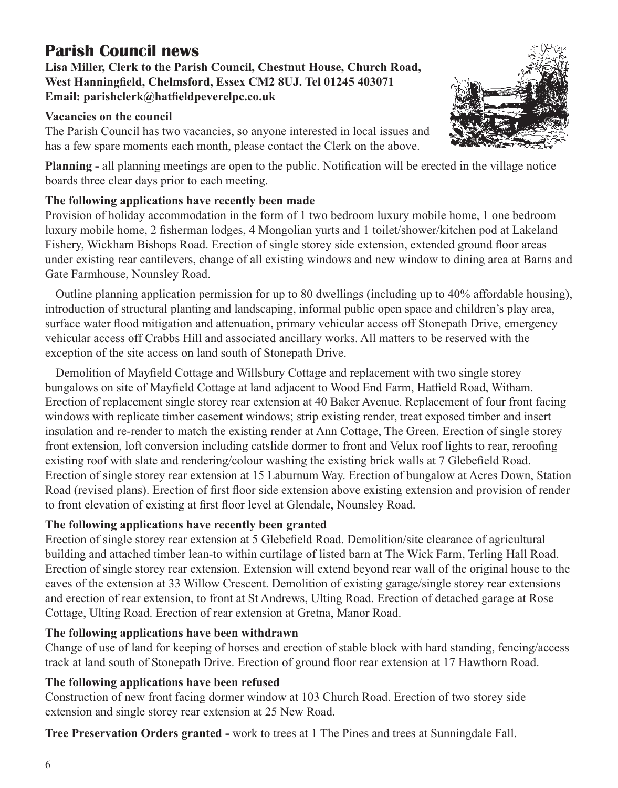## **Parish Council news**

**Lisa Miller, Clerk to the Parish Council, Chestnut House, Church Road, West Hanningfield, Chelmsford, Essex CM2 8UJ. Tel 01245 403071 Email: parishclerk@hatfieldpeverelpc.co.uk**

#### **Vacancies on the council**

The Parish Council has two vacancies, so anyone interested in local issues and has a few spare moments each month, please contact the Clerk on the above.



**Planning -** all planning meetings are open to the public. Notification will be erected in the village notice boards three clear days prior to each meeting.

#### **The following applications have recently been made**

Provision of holiday accommodation in the form of 1 two bedroom luxury mobile home, 1 one bedroom luxury mobile home, 2 fisherman lodges, 4 Mongolian yurts and 1 toilet/shower/kitchen pod at Lakeland Fishery, Wickham Bishops Road. Erection of single storey side extension, extended ground floor areas under existing rear cantilevers, change of all existing windows and new window to dining area at Barns and Gate Farmhouse, Nounsley Road.

Outline planning application permission for up to 80 dwellings (including up to 40% affordable housing), introduction of structural planting and landscaping, informal public open space and children's play area, surface water flood mitigation and attenuation, primary vehicular access off Stonepath Drive, emergency vehicular access off Crabbs Hill and associated ancillary works. All matters to be reserved with the exception of the site access on land south of Stonepath Drive.

Demolition of Mayfield Cottage and Willsbury Cottage and replacement with two single storey bungalows on site of Mayfield Cottage at land adjacent to Wood End Farm, Hatfield Road, Witham. Erection of replacement single storey rear extension at 40 Baker Avenue. Replacement of four front facing windows with replicate timber casement windows; strip existing render, treat exposed timber and insert insulation and re-render to match the existing render at Ann Cottage, The Green. Erection of single storey front extension, loft conversion including catslide dormer to front and Velux roof lights to rear, reroofing existing roof with slate and rendering/colour washing the existing brick walls at 7 Glebefield Road. Erection of single storey rear extension at 15 Laburnum Way. Erection of bungalow at Acres Down, Station Road (revised plans). Erection of first floor side extension above existing extension and provision of render to front elevation of existing at first floor level at Glendale, Nounsley Road.

### **The following applications have recently been granted**

Erection of single storey rear extension at 5 Glebefield Road. Demolition/site clearance of agricultural building and attached timber lean-to within curtilage of listed barn at The Wick Farm, Terling Hall Road. Erection of single storey rear extension. Extension will extend beyond rear wall of the original house to the eaves of the extension at 33 Willow Crescent. Demolition of existing garage/single storey rear extensions and erection of rear extension, to front at St Andrews, Ulting Road. Erection of detached garage at Rose Cottage, Ulting Road. Erection of rear extension at Gretna, Manor Road.

### **The following applications have been withdrawn**

Change of use of land for keeping of horses and erection of stable block with hard standing, fencing/access track at land south of Stonepath Drive. Erection of ground floor rear extension at 17 Hawthorn Road.

### **The following applications have been refused**

Construction of new front facing dormer window at 103 Church Road. Erection of two storey side extension and single storey rear extension at 25 New Road.

**Tree Preservation Orders granted -** work to trees at 1 The Pines and trees at Sunningdale Fall.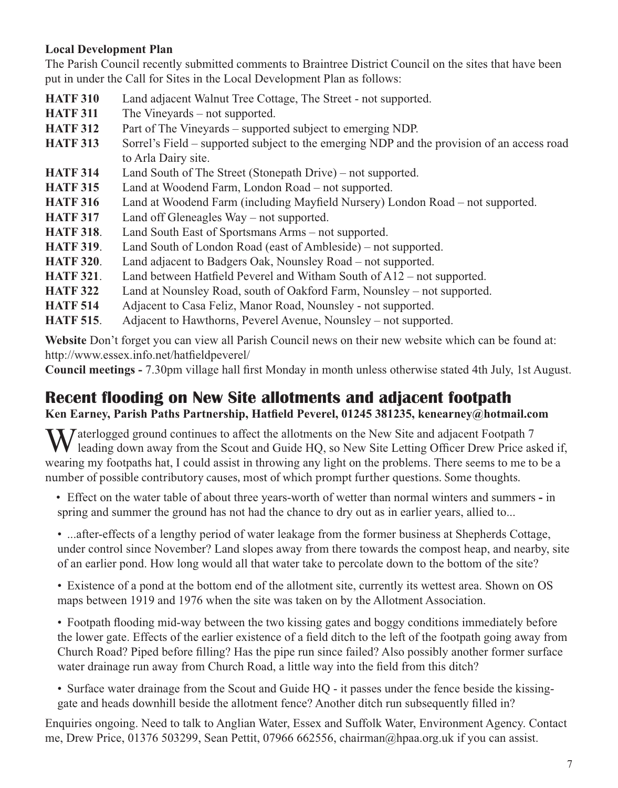#### **Local Development Plan**

The Parish Council recently submitted comments to Braintree District Council on the sites that have been put in under the Call for Sites in the Local Development Plan as follows:

- **HATF 310** Land adjacent Walnut Tree Cottage, The Street not supported. **HATF 311** The Vineyards – not supported. **HATF 312** Part of The Vineyards – supported subject to emerging NDP. **HATF 313** Sorrel's Field – supported subject to the emerging NDP and the provision of an access road to Arla Dairy site. **HATF 314** Land South of The Street (Stonepath Drive) – not supported. **HATF 315** Land at Woodend Farm, London Road – not supported. **HATF 316** Land at Woodend Farm (including Mayfield Nursery) London Road – not supported. **HATF 317** Land off Gleneagles Way – not supported. **HATF 318**. Land South East of Sportsmans Arms – not supported. **HATF 319**. Land South of London Road (east of Ambleside) – not supported. **HATF 320**. Land adjacent to Badgers Oak, Nounsley Road – not supported. **HATF 321**. Land between Hatfield Peverel and Witham South of A12 – not supported. **HATF 322** Land at Nounsley Road, south of Oakford Farm, Nounsley – not supported.
- **HATF 514** Adjacent to Casa Feliz, Manor Road, Nounsley not supported.
- **HATF 515**. Adjacent to Hawthorns, Peverel Avenue, Nounsley not supported.

**Website** Don't forget you can view all Parish Council news on their new website which can be found at: http://www.essex.info.net/hatfieldpeverel/

**Council meetings -** 7.30pm village hall first Monday in month unless otherwise stated 4th July, 1st August.

### **Recent flooding on New Site allotments and adjacent footpath**

#### **Ken Earney, Parish Paths Partnership, Hatfield Peverel, 01245 381235, kenearney@hotmail.com**

We allotments on the New Site and adjacent Footpath 7<br>leading down away from the Scout and Guide HQ, so New Site Letting Officer Drew Price asked if, wearing my footpaths hat, I could assist in throwing any light on the problems. There seems to me to be a number of possible contributory causes, most of which prompt further questions. Some thoughts.

number of possible contributors causes, most of  $\mathbf{r}$  and  $\mathbf{r}$  and  $\mathbf{r}$  and  $\mathbf{r}$  and  $\mathbf{r}$  and  $\mathbf{r}$  and  $\mathbf{r}$  and  $\mathbf{r}$  and  $\mathbf{r}$  and  $\mathbf{r}$  and  $\mathbf{r}$  and  $\mathbf{r}$  and  $\mathbf{r}$  and  $\mathbf$ • Effect on the water table of about three years-worth of wetter than normal winters and summers **-** in spring and summer the ground has not had the chance to dry out as in earlier years, allied to...

• ...after-effects of a lengthy period of water leakage from the former business at Shepherds Cottage, under control since November? Land slopes away from there towards the compost heap, and nearby, site of an earlier pond. How long would all that water take to percolate down to the bottom of the site?

• Existence of a pond at the bottom end of the allotment site, currently its wettest area. Shown on OS maps between 1919 and 1976 when the site was taken on by the Allotment Association.

• Footpath flooding mid-way between the two kissing gates and boggy conditions immediately before the lower gate. Effects of the earlier existence of a field ditch to the left of the footpath going away from Church Road? Piped before filling? Has the pipe run since failed? Also possibly another former surface water drainage run away from Church Road, a little way into the field from this ditch?

• Surface water drainage from the Scout and Guide HQ - it passes under the fence beside the kissinggate and heads downhill beside the allotment fence? Another ditch run subsequently filled in?

Enquiries ongoing. Need to talk to Anglian Water, Essex and Suffolk Water, Environment Agency. Contact me, Drew Price, 01376 503299, Sean Pettit, 07966 662556, chairman@hpaa.org.uk if you can assist.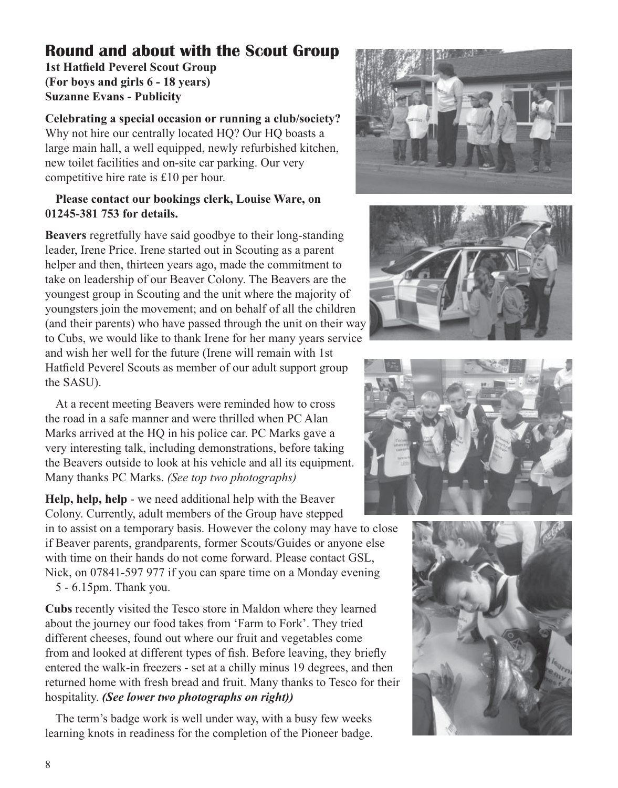## **Round and about with the Scout Group**

**1st Hatfield Peverel Scout Group (For boys and girls 6 - 18 years) Suzanne Evans - Publicity**

**Celebrating a special occasion or running a club/society?** Why not hire our centrally located HQ? Our HQ boasts a large main hall, a well equipped, newly refurbished kitchen, new toilet facilities and on-site car parking. Our very competitive hire rate is £10 per hour.

#### **Please contact our bookings clerk, Louise Ware, on 01245-381 753 for details.**

**Beavers** regretfully have said goodbye to their long-standing leader, Irene Price. Irene started out in Scouting as a parent helper and then, thirteen years ago, made the commitment to take on leadership of our Beaver Colony. The Beavers are the youngest group in Scouting and the unit where the majority of youngsters join the movement; and on behalf of all the children (and their parents) who have passed through the unit on their way to Cubs, we would like to thank Irene for her many years service and wish her well for the future (Irene will remain with 1st Hatfield Peverel Scouts as member of our adult support group the SASU).

At a recent meeting Beavers were reminded how to cross the road in a safe manner and were thrilled when PC Alan Marks arrived at the HQ in his police car. PC Marks gave a very interesting talk, including demonstrations, before taking the Beavers outside to look at his vehicle and all its equipment. Many thanks PC Marks. *(See top two photographs)*

**Help, help, help** - we need additional help with the Beaver Colony. Currently, adult members of the Group have stepped

in to assist on a temporary basis. However the colony may have to close if Beaver parents, grandparents, former Scouts/Guides or anyone else with time on their hands do not come forward. Please contact GSL, Nick, on 07841-597 977 if you can spare time on a Monday evening 5 - 6.15pm. Thank you.

**Cubs** recently visited the Tesco store in Maldon where they learned about the journey our food takes from 'Farm to Fork'. They tried different cheeses, found out where our fruit and vegetables come from and looked at different types of fish. Before leaving, they briefly entered the walk-in freezers - set at a chilly minus 19 degrees, and then returned home with fresh bread and fruit. Many thanks to Tesco for their hospitality. *(See lower two photographs on right))*

The term's badge work is well under way, with a busy few weeks learning knots in readiness for the completion of the Pioneer badge.







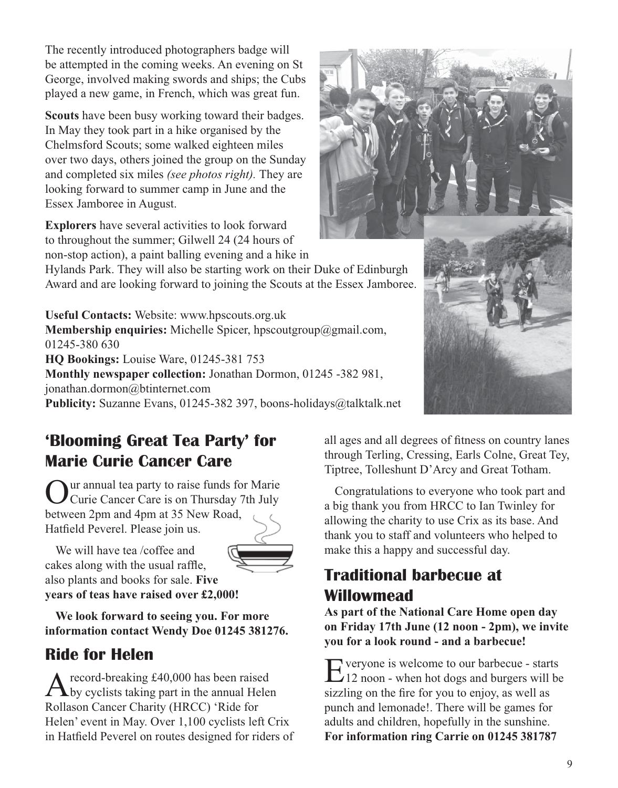The recently introduced photographers badge will be attempted in the coming weeks. An evening on St George, involved making swords and ships; the Cubs played a new game, in French, which was great fun.

**Scouts** have been busy working toward their badges. In May they took part in a hike organised by the Chelmsford Scouts; some walked eighteen miles over two days, others joined the group on the Sunday and completed six miles *(see photos right).* They are looking forward to summer camp in June and the Essex Jamboree in August.

**Explorers** have several activities to look forward to throughout the summer; Gilwell 24 (24 hours of non-stop action), a paint balling evening and a hike in

Hylands Park. They will also be starting work on their Duke of Edinburgh Award and are looking forward to joining the Scouts at the Essex Jamboree.

**Useful Contacts:** Website: www.hpscouts.org.uk **Membership enquiries:** Michelle Spicer, hpscoutgroup@gmail.com, 01245-380 630 **HQ Bookings:** Louise Ware, 01245-381 753 **Monthly newspaper collection:** Jonathan Dormon, 01245 -382 981, jonathan.dormon@btinternet.com **Publicity:** Suzanne Evans, 01245-382 397, boons-holidays@talktalk.net



## **'Blooming Great Tea Party' for Marie Curie Cancer Care**

Our annual tea party to raise funds for Marie<br>Curie Cancer Care is on Thursday 7th July between 2pm and 4pm at 35 New Road, Hatfield Peverel. Please join us.

We will have tea /coffee and cakes along with the usual raffle, also plants and books for sale. **Five years of teas have raised over £2,000!**



**We look forward to seeing you. For more information contact Wendy Doe 01245 381276.**

## **Ride for Helen**

A record-breaking £40,000 has been raised<br>by cyclists taking part in the annual Helen Rollason Cancer Charity (HRCC) 'Ride for Helen' event in May. Over 1,100 cyclists left Crix in Hatfield Peverel on routes designed for riders of all ages and all degrees of fitness on country lanes through Terling, Cressing, Earls Colne, Great Tey, Tiptree, Tolleshunt D'Arcy and Great Totham.

Congratulations to everyone who took part and a big thank you from HRCC to Ian Twinley for allowing the charity to use Crix as its base. And thank you to staff and volunteers who helped to make this a happy and successful day.

## **Traditional barbecue at Willowmead**

**As part of the National Care Home open day on Friday 17th June (12 noon - 2pm), we invite you for a look round - and a barbecue!**

Everyone is welcome to our barbecue - starts 12 noon - when hot dogs and burgers will be sizzling on the fire for you to enjoy, as well as punch and lemonade!. There will be games for adults and children, hopefully in the sunshine. **For information ring Carrie on 01245 381787**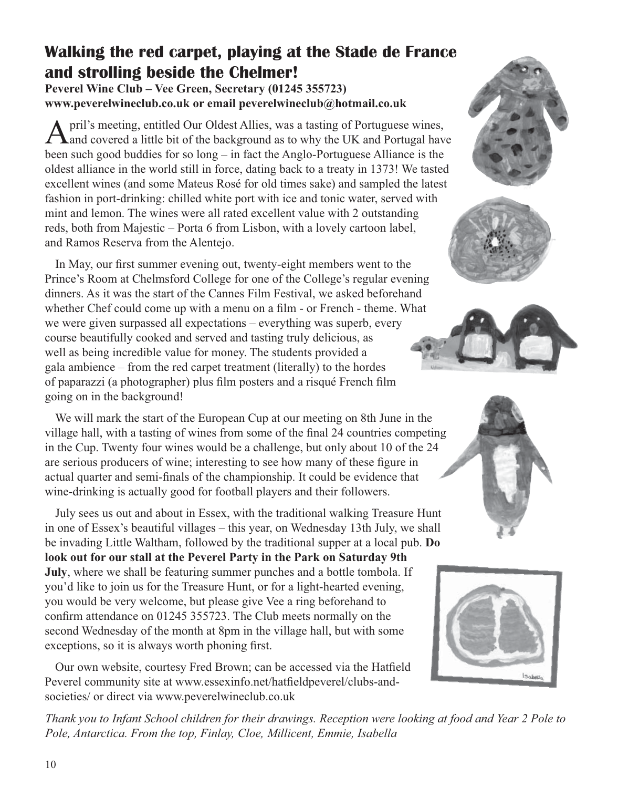## **Walking the red carpet, playing at the Stade de France and strolling beside the Chelmer!**

**Peverel Wine Club – Vee Green, Secretary (01245 355723) www.peverelwineclub.co.uk or email peverelwineclub@hotmail.co.uk** 

April's meeting, entitled Our Oldest Allies, was a tasting of Portuguese wines,<br>A and covered a little bit of the background as to why the UK and Portugal have been such good buddies for so long – in fact the Anglo-Portuguese Alliance is the oldest alliance in the world still in force, dating back to a treaty in 1373! We tasted excellent wines (and some Mateus Rosé for old times sake) and sampled the latest fashion in port-drinking: chilled white port with ice and tonic water, served with mint and lemon. The wines were all rated excellent value with 2 outstanding reds, both from Majestic – Porta 6 from Lisbon, with a lovely cartoon label, and Ramos Reserva from the Alentejo.

In May, our first summer evening out, twenty-eight members went to the Prince's Room at Chelmsford College for one of the College's regular evening dinners. As it was the start of the Cannes Film Festival, we asked beforehand whether Chef could come up with a menu on a film - or French - theme. What we were given surpassed all expectations – everything was superb, every course beautifully cooked and served and tasting truly delicious, as well as being incredible value for money. The students provided a gala ambience – from the red carpet treatment (literally) to the hordes of paparazzi (a photographer) plus film posters and a risqué French film going on in the background!

We will mark the start of the European Cup at our meeting on 8th June in the village hall, with a tasting of wines from some of the final 24 countries competing in the Cup. Twenty four wines would be a challenge, but only about 10 of the 24 are serious producers of wine; interesting to see how many of these figure in actual quarter and semi-finals of the championship. It could be evidence that wine-drinking is actually good for football players and their followers.

July sees us out and about in Essex, with the traditional walking Treasure Hunt in one of Essex's beautiful villages – this year, on Wednesday 13th July, we shall be invading Little Waltham, followed by the traditional supper at a local pub. **Do look out for our stall at the Peverel Party in the Park on Saturday 9th July**, where we shall be featuring summer punches and a bottle tombola. If you'd like to join us for the Treasure Hunt, or for a light-hearted evening, you would be very welcome, but please give Vee a ring beforehand to confirm attendance on 01245 355723. The Club meets normally on the second Wednesday of the month at 8pm in the village hall, but with some exceptions, so it is always worth phoning first.

Our own website, courtesy Fred Brown; can be accessed via the Hatfield Peverel community site at www.essexinfo.net/hatfieldpeverel/clubs-andsocieties/ or direct via www.peverelwineclub.co.uk











*Thank you to Infant School children for their drawings. Reception were looking at food and Year 2 Pole to Pole, Antarctica. From the top, Finlay, Cloe, Millicent, Emmie, Isabella*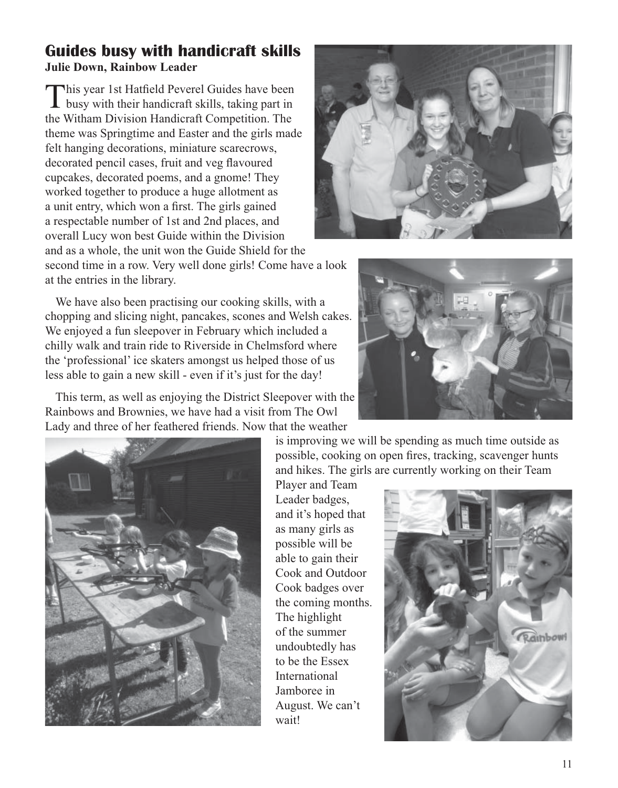### **Guides busy with handicraft skills Julie Down, Rainbow Leader**

This year 1st Hatfield Peverel Guides have been busy with their handicraft skills, taking part in the Witham Division Handicraft Competition. The theme was Springtime and Easter and the girls made felt hanging decorations, miniature scarecrows, decorated pencil cases, fruit and veg flavoured cupcakes, decorated poems, and a gnome! They worked together to produce a huge allotment as a unit entry, which won a first. The girls gained a respectable number of 1st and 2nd places, and overall Lucy won best Guide within the Division and as a whole, the unit won the Guide Shield for the

second time in a row. Very well done girls! Come have a look at the entries in the library.

We have also been practising our cooking skills, with a chopping and slicing night, pancakes, scones and Welsh cakes. We enjoyed a fun sleepover in February which included a chilly walk and train ride to Riverside in Chelmsford where the 'professional' ice skaters amongst us helped those of us less able to gain a new skill - even if it's just for the day!



This term, as well as enjoying the District Sleepover with the Rainbows and Brownies, we have had a visit from The Owl Lady and three of her feathered friends. Now that the weather



is improving we will be spending as much time outside as possible, cooking on open fires, tracking, scavenger hunts and hikes. The girls are currently working on their Team

Player and Team Leader badges, and it's hoped that as many girls as possible will be able to gain their Cook and Outdoor Cook badges over the coming months. The highlight of the summer undoubtedly has to be the Essex International Jamboree in August. We can't wait!

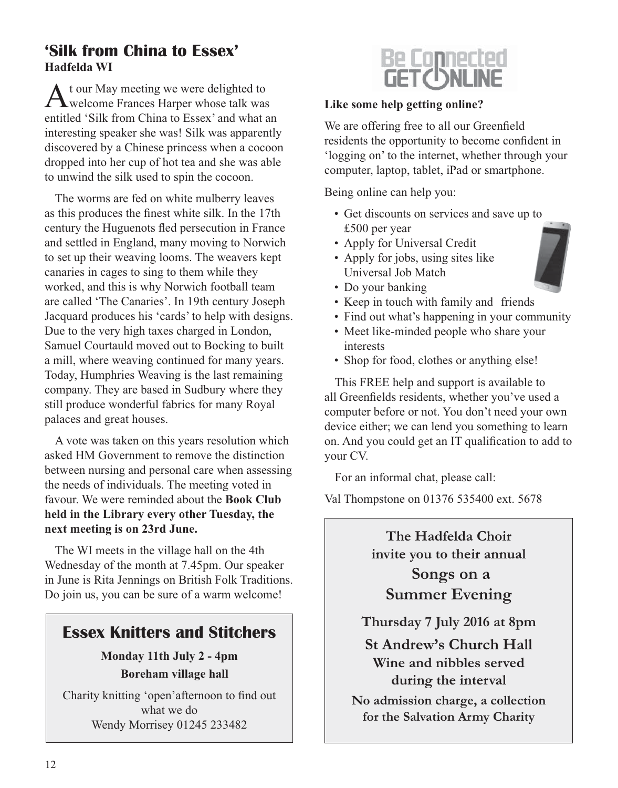### **'Silk from China to Essex' Hadfelda WI**

A t our May meeting we were delighted to **T**welcome Frances Harper whose talk was entitled 'Silk from China to Essex' and what an interesting speaker she was! Silk was apparently discovered by a Chinese princess when a cocoon dropped into her cup of hot tea and she was able to unwind the silk used to spin the cocoon.

The worms are fed on white mulberry leaves as this produces the finest white silk. In the 17th century the Huguenots fled persecution in France and settled in England, many moving to Norwich to set up their weaving looms. The weavers kept canaries in cages to sing to them while they worked, and this is why Norwich football team are called 'The Canaries'. In 19th century Joseph Jacquard produces his 'cards' to help with designs. Due to the very high taxes charged in London, Samuel Courtauld moved out to Bocking to built a mill, where weaving continued for many years. Today, Humphries Weaving is the last remaining company. They are based in Sudbury where they still produce wonderful fabrics for many Royal palaces and great houses.

A vote was taken on this years resolution which asked HM Government to remove the distinction between nursing and personal care when assessing the needs of individuals. The meeting voted in favour. We were reminded about the **Book Club held in the Library every other Tuesday, the next meeting is on 23rd June.**

The WI meets in the village hall on the 4th Wednesday of the month at 7.45pm. Our speaker in June is Rita Jennings on British Folk Traditions. Do join us, you can be sure of a warm welcome!

### **Essex Knitters and Stitchers**

**Monday 11th July 2 - 4pm Boreham village hall**

Charity knitting 'open'afternoon to find out what we do Wendy Morrisey 01245 233482



#### **Like some help getting online?**

We are offering free to all our Greenfield residents the opportunity to become confident in 'logging on' to the internet, whether through your computer, laptop, tablet, iPad or smartphone.

Being online can help you:

- Get discounts on services and save up to £500 per year
- Apply for Universal Credit
- Apply for jobs, using sites like Universal Job Match
- Do your banking
- Keep in touch with family and friends
- Find out what's happening in your community
- Meet like-minded people who share your interests
- Shop for food, clothes or anything else!

This FREE help and support is available to all Greenfields residents, whether you've used a computer before or not. You don't need your own device either; we can lend you something to learn on. And you could get an IT qualification to add to your CV.

For an informal chat, please call:

Val Thompstone on 01376 535400 ext. 5678

**The Hadfelda Choir invite you to their annual Songs on a Summer Evening**

**Thursday 7 July 2016 at 8pm**

**St Andrew's Church Hall Wine and nibbles served during the interval**

**No admission charge, a collection for the Salvation Army Charity**

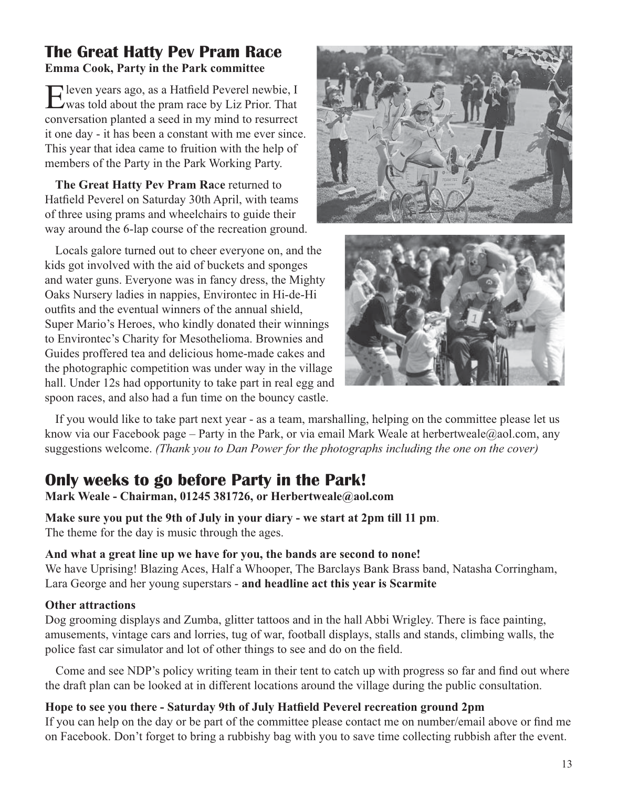### **The Great Hatty Pev Pram Race Emma Cook, Party in the Park committee**

Eleven years ago, as a Hatfield Peverel newbie, I was told about the pram race by Liz Prior. That conversation planted a seed in my mind to resurrect it one day - it has been a constant with me ever since. This year that idea came to fruition with the help of members of the Party in the Park Working Party.

**The Great Hatty Pev Pram Ra**c**e** returned to Hatfield Peverel on Saturday 30th April, with teams of three using prams and wheelchairs to guide their way around the 6-lap course of the recreation ground.

Locals galore turned out to cheer everyone on, and the kids got involved with the aid of buckets and sponges and water guns. Everyone was in fancy dress, the Mighty Oaks Nursery ladies in nappies, Environtec in Hi-de-Hi outfits and the eventual winners of the annual shield, Super Mario's Heroes, who kindly donated their winnings to Environtec's Charity for Mesothelioma. Brownies and Guides proffered tea and delicious home-made cakes and the photographic competition was under way in the village hall. Under 12s had opportunity to take part in real egg and spoon races, and also had a fun time on the bouncy castle.





If you would like to take part next year - as a team, marshalling, helping on the committee please let us know via our Facebook page – Party in the Park, or via email Mark Weale at herbertweale@aol.com, any suggestions welcome. *(Thank you to Dan Power for the photographs including the one on the cover)*

## **Only weeks to go before Party in the Park!**

**Mark Weale - Chairman, 01245 381726, or Herbertweale@aol.com**

**Make sure you put the 9th of July in your diary - we start at 2pm till 11 pm**. The theme for the day is music through the ages.

#### **And what a great line up we have for you, the bands are second to none!**

We have Uprising! Blazing Aces, Half a Whooper, The Barclays Bank Brass band, Natasha Corringham, Lara George and her young superstars - **and headline act this year is Scarmite**

#### **Other attractions**

Dog grooming displays and Zumba, glitter tattoos and in the hall Abbi Wrigley. There is face painting, amusements, vintage cars and lorries, tug of war, football displays, stalls and stands, climbing walls, the police fast car simulator and lot of other things to see and do on the field.

Come and see NDP's policy writing team in their tent to catch up with progress so far and find out where the draft plan can be looked at in different locations around the village during the public consultation.

**Hope to see you there - Saturday 9th of July Hatfield Peverel recreation ground 2pm** If you can help on the day or be part of the committee please contact me on number/email above or find me on Facebook. Don't forget to bring a rubbishy bag with you to save time collecting rubbish after the event.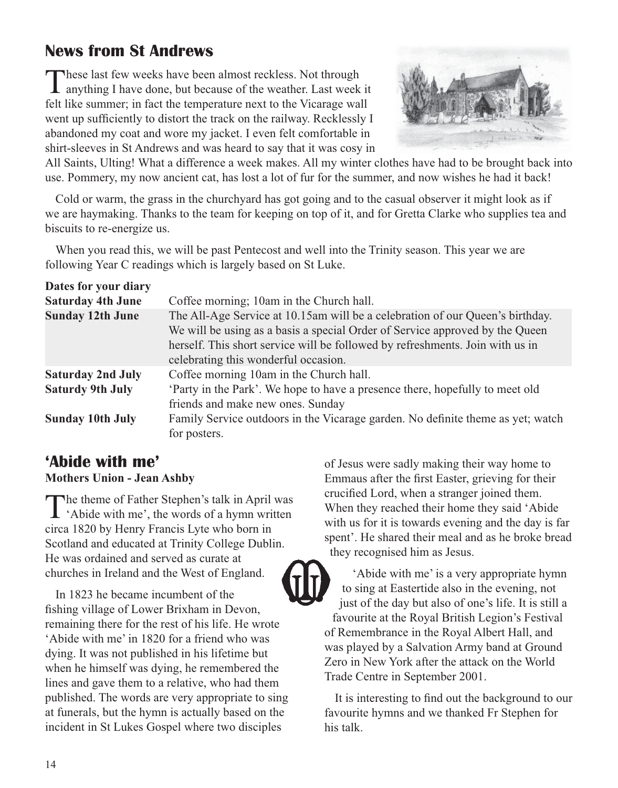## **News from St Andrews**

These last few weeks have been almost reckless. Not through anything I have done, but because of the weather. Last week it felt like summer; in fact the temperature next to the Vicarage wall went up sufficiently to distort the track on the railway. Recklessly I abandoned my coat and wore my jacket. I even felt comfortable in shirt-sleeves in St Andrews and was heard to say that it was cosy in



All Saints, Ulting! What a difference a week makes. All my winter clothes have had to be brought back into use. Pommery, my now ancient cat, has lost a lot of fur for the summer, and now wishes he had it back!

Cold or warm, the grass in the churchyard has got going and to the casual observer it might look as if we are haymaking. Thanks to the team for keeping on top of it, and for Gretta Clarke who supplies tea and biscuits to re-energize us.

When you read this, we will be past Pentecost and well into the Trinity season. This year we are following Year C readings which is largely based on St Luke.

| Dates for your diary     |                                                                                                                                                                                                                                                                                        |
|--------------------------|----------------------------------------------------------------------------------------------------------------------------------------------------------------------------------------------------------------------------------------------------------------------------------------|
| <b>Saturday 4th June</b> | Coffee morning; 10am in the Church hall.                                                                                                                                                                                                                                               |
| <b>Sunday 12th June</b>  | The All-Age Service at 10.15am will be a celebration of our Queen's birthday.<br>We will be using as a basis a special Order of Service approved by the Queen<br>herself. This short service will be followed by refreshments. Join with us in<br>celebrating this wonderful occasion. |
| <b>Saturday 2nd July</b> | Coffee morning 10am in the Church hall.                                                                                                                                                                                                                                                |
| <b>Saturdy 9th July</b>  | 'Party in the Park'. We hope to have a presence there, hopefully to meet old<br>friends and make new ones. Sunday                                                                                                                                                                      |
| <b>Sunday 10th July</b>  | Family Service outdoors in the Vicarage garden. No definite theme as yet; watch<br>for posters.                                                                                                                                                                                        |

### **'Abide with me'**

#### **Mothers Union - Jean Ashby**

The theme of Father Stephen's talk in April was<br>
'Abide with me', the words of a hymn written circa 1820 by Henry Francis Lyte who born in Scotland and educated at Trinity College Dublin. He was ordained and served as curate at churches in Ireland and the West of England.

In 1823 he became incumbent of the fishing village of Lower Brixham in Devon, remaining there for the rest of his life. He wrote 'Abide with me' in 1820 for a friend who was dying. It was not published in his lifetime but when he himself was dying, he remembered the lines and gave them to a relative, who had them published. The words are very appropriate to sing at funerals, but the hymn is actually based on the incident in St Lukes Gospel where two disciples

of Jesus were sadly making their way home to Emmaus after the first Easter, grieving for their crucified Lord, when a stranger joined them. When they reached their home they said 'Abide with us for it is towards evening and the day is far spent'. He shared their meal and as he broke bread they recognised him as Jesus.



'Abide with me' is a very appropriate hymn to sing at Eastertide also in the evening, not just of the day but also of one's life. It is still a favourite at the Royal British Legion's Festival of Remembrance in the Royal Albert Hall, and was played by a Salvation Army band at Ground Zero in New York after the attack on the World Trade Centre in September 2001.

It is interesting to find out the background to our favourite hymns and we thanked Fr Stephen for his talk.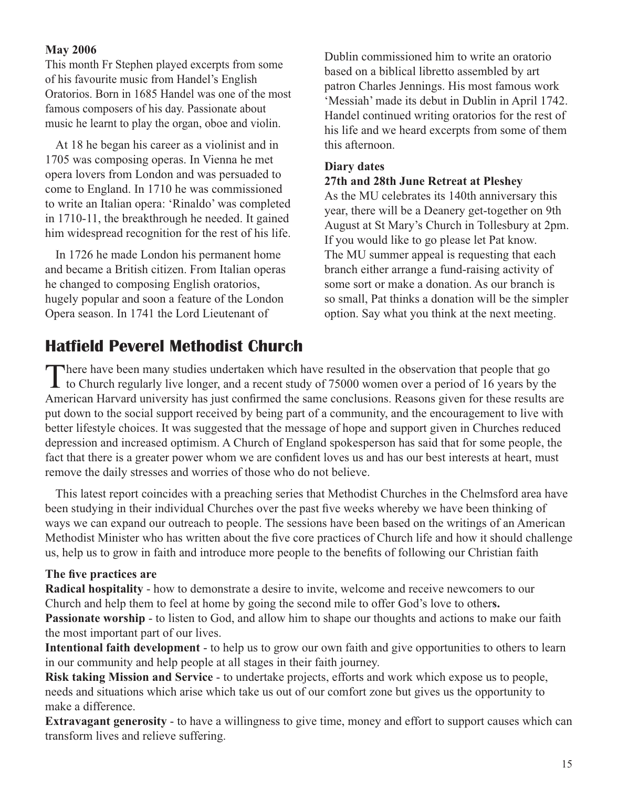#### **May 2006**

This month Fr Stephen played excerpts from some of his favourite music from Handel's English Oratorios. Born in 1685 Handel was one of the most famous composers of his day. Passionate about music he learnt to play the organ, oboe and violin.

At 18 he began his career as a violinist and in 1705 was composing operas. In Vienna he met opera lovers from London and was persuaded to come to England. In 1710 he was commissioned to write an Italian opera: 'Rinaldo' was completed in 1710-11, the breakthrough he needed. It gained him widespread recognition for the rest of his life.

In 1726 he made London his permanent home and became a British citizen. From Italian operas he changed to composing English oratorios, hugely popular and soon a feature of the London Opera season. In 1741 the Lord Lieutenant of

Dublin commissioned him to write an oratorio based on a biblical libretto assembled by art patron Charles Jennings. His most famous work 'Messiah' made its debut in Dublin in April 1742. Handel continued writing oratorios for the rest of his life and we heard excerpts from some of them this afternoon.

#### **Diary dates 27th and 28th June Retreat at Pleshey**

As the MU celebrates its 140th anniversary this year, there will be a Deanery get-together on 9th August at St Mary's Church in Tollesbury at 2pm. If you would like to go please let Pat know. The MU summer appeal is requesting that each branch either arrange a fund-raising activity of some sort or make a donation. As our branch is so small, Pat thinks a donation will be the simpler option. Say what you think at the next meeting.

## **Hatfield Peverel Methodist Church**

There have been many studies undertaken which have resulted in the observation that people that go **I** to Church regularly live longer, and a recent study of 75000 women over a period of 16 years by the American Harvard university has just confirmed the same conclusions. Reasons given for these results are put down to the social support received by being part of a community, and the encouragement to live with better lifestyle choices. It was suggested that the message of hope and support given in Churches reduced depression and increased optimism. A Church of England spokesperson has said that for some people, the fact that there is a greater power whom we are confident loves us and has our best interests at heart, must remove the daily stresses and worries of those who do not believe.

This latest report coincides with a preaching series that Methodist Churches in the Chelmsford area have been studying in their individual Churches over the past five weeks whereby we have been thinking of ways we can expand our outreach to people. The sessions have been based on the writings of an American Methodist Minister who has written about the five core practices of Church life and how it should challenge us, help us to grow in faith and introduce more people to the benefits of following our Christian faith

#### **The five practices are**

**Radical hospitality** - how to demonstrate a desire to invite, welcome and receive newcomers to our Church and help them to feel at home by going the second mile to offer God's love to other**s. Passionate worship** - to listen to God, and allow him to shape our thoughts and actions to make our faith the most important part of our lives.

**Intentional faith development** - to help us to grow our own faith and give opportunities to others to learn in our community and help people at all stages in their faith journey.

**Risk taking Mission and Service** - to undertake projects, efforts and work which expose us to people, needs and situations which arise which take us out of our comfort zone but gives us the opportunity to make a difference.

**Extravagant generosity** - to have a willingness to give time, money and effort to support causes which can transform lives and relieve suffering.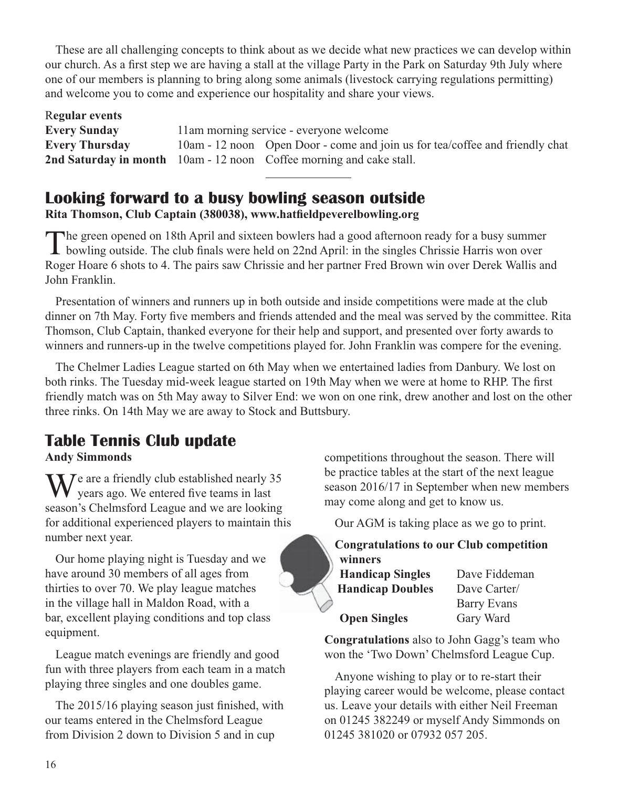These are all challenging concepts to think about as we decide what new practices we can develop within our church. As a first step we are having a stall at the village Party in the Park on Saturday 9th July where one of our members is planning to bring along some animals (livestock carrying regulations permitting) and welcome you to come and experience our hospitality and share your views.

| Regular events        |                                                                              |
|-----------------------|------------------------------------------------------------------------------|
| <b>Every Sunday</b>   | 11am morning service - everyone welcome                                      |
| <b>Every Thursday</b> | 10am - 12 noon Open Door - come and join us for tea/coffee and friendly chat |
|                       | <b>2nd Saturday in month</b> 10am - 12 noon Coffee morning and cake stall.   |

### **Looking forward to a busy bowling season outside**

**Rita Thomson, Club Captain (380038), www.hatfieldpeverelbowling.org**

The green opened on 18th April and sixteen bowlers had a good afternoon ready for a busy summer **L** bowling outside. The club finals were held on 22nd April: in the singles Chrissie Harris won over Roger Hoare 6 shots to 4. The pairs saw Chrissie and her partner Fred Brown win over Derek Wallis and John Franklin.

Presentation of winners and runners up in both outside and inside competitions were made at the club dinner on 7th May. Forty five members and friends attended and the meal was served by the committee. Rita Thomson, Club Captain, thanked everyone for their help and support, and presented over forty awards to winners and runners-up in the twelve competitions played for. John Franklin was compere for the evening.

The Chelmer Ladies League started on 6th May when we entertained ladies from Danbury. We lost on both rinks. The Tuesday mid-week league started on 19th May when we were at home to RHP. The first friendly match was on 5th May away to Silver End: we won on one rink, drew another and lost on the other three rinks. On 14th May we are away to Stock and Buttsbury.

## **Table Tennis Club update**

**Andy Simmonds**

 $\sum$  *J*e are a friendly club established nearly 35 years ago. We entered five teams in last season's Chelmsford League and we are looking for additional experienced players to maintain this number next year.

Our home playing night is Tuesday and we have around 30 members of all ages from thirties to over 70. We play league matches in the village hall in Maldon Road, with a bar, excellent playing conditions and top class equipment.

League match evenings are friendly and good fun with three players from each team in a match playing three singles and one doubles game.

The 2015/16 playing season just finished, with our teams entered in the Chelmsford League from Division 2 down to Division 5 and in cup

competitions throughout the season. There will be practice tables at the start of the next league season 2016/17 in September when new members may come along and get to know us.

Our AGM is taking place as we go to print.

### **Congratulations to our Club competition winners**

| <b>Handicap Singles</b> | Dave Fiddeman |
|-------------------------|---------------|
| <b>Handicap Doubles</b> | Dave Carter/  |
|                         | Barry Evans   |
| <b>Open Singles</b>     | Gary Ward     |

**Congratulations** also to John Gagg's team who won the 'Two Down' Chelmsford League Cup.

Anyone wishing to play or to re-start their playing career would be welcome, please contact us. Leave your details with either Neil Freeman on 01245 382249 or myself Andy Simmonds on 01245 381020 or 07932 057 205.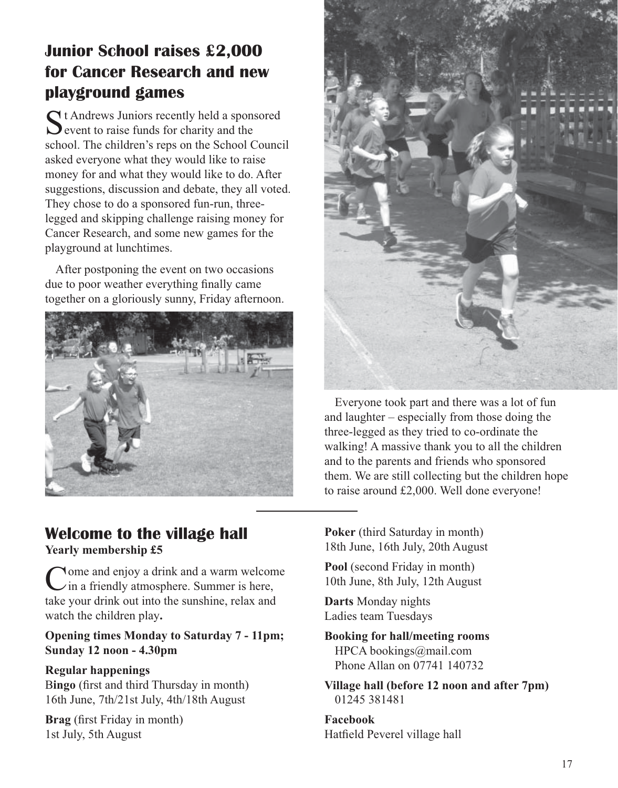## **Junior School raises £2,000 for Cancer Research and new playground games**

 $\bigcap$  t Andrews Juniors recently held a sponsored  $\sum$  event to raise funds for charity and the school. The children's reps on the School Council asked everyone what they would like to raise money for and what they would like to do. After suggestions, discussion and debate, they all voted. They chose to do a sponsored fun-run, threelegged and skipping challenge raising money for Cancer Research, and some new games for the playground at lunchtimes.

After postponing the event on two occasions due to poor weather everything finally came together on a gloriously sunny, Friday afternoon.





Everyone took part and there was a lot of fun and laughter – especially from those doing the three-legged as they tried to co-ordinate the walking! A massive thank you to all the children and to the parents and friends who sponsored them. We are still collecting but the children hope to raise around £2,000. Well done everyone!

### **Welcome to the village hall Yearly membership £5**

Come and enjoy a drink and a warm welcome in a friendly atmosphere. Summer is here, take your drink out into the sunshine, relax and watch the children play**.**

#### **Opening times Monday to Saturday 7 - 11pm; Sunday 12 noon - 4.30pm**

#### **Regular happenings**

B**ingo** (first and third Thursday in month) 16th June, 7th/21st July, 4th/18th August

**Brag** (first Friday in month) 1st July, 5th August

**Poker** (third Saturday in month) 18th June, 16th July, 20th August

**Pool** (second Friday in month) 10th June, 8th July, 12th August

**Darts** Monday nights Ladies team Tuesdays

**Booking for hall/meeting rooms** HPCA bookings@mail.com Phone Allan on 07741 140732

**Village hall (before 12 noon and after 7pm)** 01245 381481

**Facebook** Hatfield Peverel village hall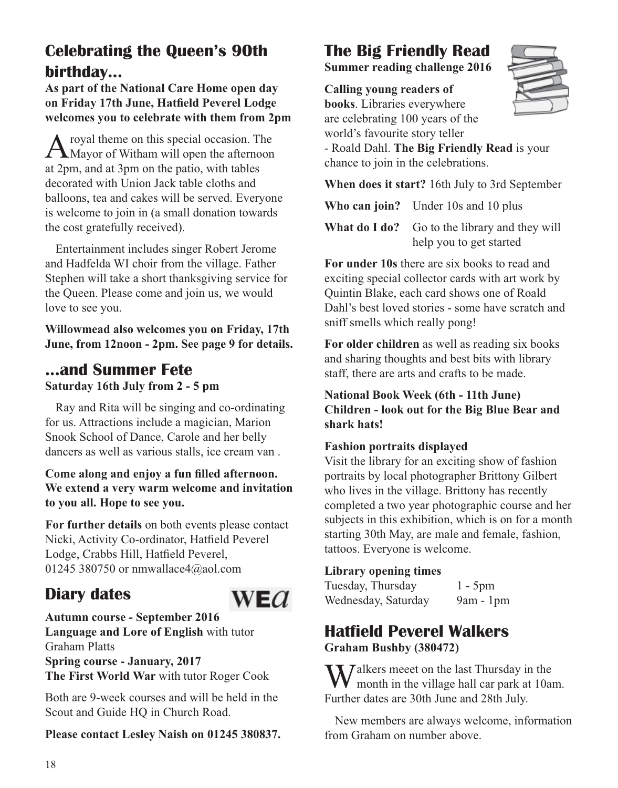## **Celebrating the Queen's 90th birthday...**

**As part of the National Care Home open day on Friday 17th June, Hatfield Peverel Lodge welcomes you to celebrate with them from 2pm** 

A royal theme on this special occasion. The<br>Mayor of Witham will open the afternoon at 2pm, and at 3pm on the patio, with tables decorated with Union Jack table cloths and balloons, tea and cakes will be served. Everyone is welcome to join in (a small donation towards the cost gratefully received).

Entertainment includes singer Robert Jerome and Hadfelda WI choir from the village. Father Stephen will take a short thanksgiving service for the Queen. Please come and join us, we would love to see you.

**Willowmead also welcomes you on Friday, 17th June, from 12noon - 2pm. See page 9 for details.**

### **...and Summer Fete Saturday 16th July from 2 - 5 pm**

Ray and Rita will be singing and co-ordinating for us. Attractions include a magician, Marion Snook School of Dance, Carole and her belly dancers as well as various stalls, ice cream van .

#### **Come along and enjoy a fun filled afternoon. We extend a very warm welcome and invitation to you all. Hope to see you.**

**For further details** on both events please contact Nicki, Activity Co-ordinator, Hatfield Peverel Lodge, Crabbs Hill, Hatfield Peverel, 01245 380750 or nmwallace4@aol.com

WE $a$ 

## **Diary dates**

**Autumn course - September 2016 Language and Lore of English** with tutor Graham Platts **Spring course - January, 2017 The First World War** with tutor Roger Cook

Both are 9-week courses and will be held in the Scout and Guide HQ in Church Road.

**Please contact Lesley Naish on 01245 380837.**

## **The Big Friendly Read**

**Summer reading challenge 2016**

**Calling young readers of** 





- Roald Dahl. **The Big Friendly Read** is your chance to join in the celebrations.

**When does it start?** 16th July to 3rd September

**Who can join?** Under 10s and 10 plus

**What do I do?** Go to the library and they will help you to get started

**For under 10s** there are six books to read and exciting special collector cards with art work by Quintin Blake, each card shows one of Roald Dahl's best loved stories - some have scratch and sniff smells which really pong!

**For older children** as well as reading six books and sharing thoughts and best bits with library staff, there are arts and crafts to be made.

**National Book Week (6th - 11th June) Children - look out for the Big Blue Bear and shark hats!**

#### **Fashion portraits displayed**

Visit the library for an exciting show of fashion portraits by local photographer Brittony Gilbert who lives in the village. Brittony has recently completed a two year photographic course and her subjects in this exhibition, which is on for a month starting 30th May, are male and female, fashion, tattoos. Everyone is welcome.

### **Library opening times**

Tuesday, Thursday 1 - 5pm Wednesday, Saturday 9am - 1pm

## **Hatfield Peverel Walkers**

**Graham Bushby (380472)**

 $\sum$  *J* alkers meeet on the last Thursday in the month in the village hall car park at 10am. Further dates are 30th June and 28th July.

New members are always welcome, information from Graham on number above.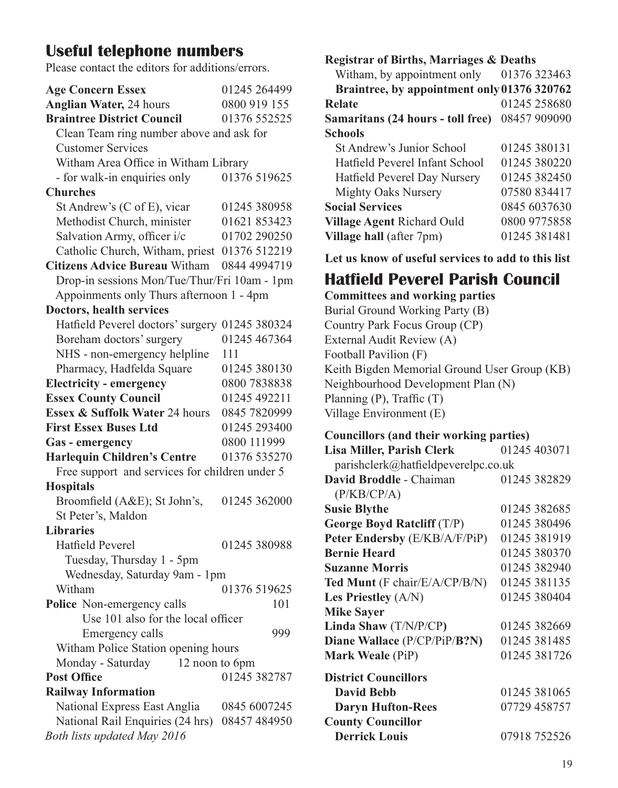### **Useful telephone numbers**

Please contact the editors for additions/errors.

| <b>Age Concern Essex</b>                         | 01245 264499 |  |
|--------------------------------------------------|--------------|--|
| <b>Anglian Water, 24 hours</b>                   | 0800 919 155 |  |
| <b>Braintree District Council</b>                | 01376 552525 |  |
| Clean Team ring number above and ask for         |              |  |
| <b>Customer Services</b>                         |              |  |
| Witham Area Office in Witham Library             |              |  |
| - for walk-in enquiries only                     | 01376 519625 |  |
| <b>Churches</b>                                  |              |  |
| St Andrew's (C of E), vicar                      | 01245 380958 |  |
| Methodist Church, minister                       | 01621 853423 |  |
| Salvation Army, officer i/c                      | 01702 290250 |  |
| Catholic Church, Witham, priest 01376 512219     |              |  |
| <b>Citizens Advice Bureau Witham</b>             | 0844 4994719 |  |
| Drop-in sessions Mon/Tue/Thur/Fri 10am - 1pm     |              |  |
| Appoinments only Thurs afternoon 1 - 4pm         |              |  |
| Doctors, health services                         |              |  |
| Hatfield Peverel doctors' surgery                | 01245 380324 |  |
| Boreham doctors' surgery                         | 01245 467364 |  |
| NHS - non-emergency helpline                     | 111          |  |
| Pharmacy, Hadfelda Square                        | 01245 380130 |  |
| <b>Electricity - emergency</b>                   | 0800 7838838 |  |
| <b>Essex County Council</b>                      | 01245 492211 |  |
| Essex & Suffolk Water 24 hours                   | 0845 7820999 |  |
| <b>First Essex Buses Ltd</b>                     | 01245 293400 |  |
| Gas - emergency                                  | 0800 111999  |  |
| <b>Harlequin Children's Centre</b>               | 01376 535270 |  |
| Free support and services for children under 5   |              |  |
| <b>Hospitals</b>                                 |              |  |
| Broomfield (A&E); St John's,                     | 01245 362000 |  |
| St Peter's, Maldon                               |              |  |
| <b>Libraries</b>                                 |              |  |
| Hatfield Peverel                                 | 01245 380988 |  |
| Tuesday, Thursday 1 - 5pm                        |              |  |
| Wednesday, Saturday 9am - 1pm                    |              |  |
| Witham                                           | 01376 519625 |  |
| Police Non-emergency calls                       | 101          |  |
| Use 101 also for the local officer               |              |  |
| Emergency calls                                  | 999          |  |
| Witham Police Station opening hours              |              |  |
| Monday - Saturday<br>12 noon to 6pm              |              |  |
| <b>Post Office</b>                               | 01245 382787 |  |
| <b>Railway Information</b>                       |              |  |
| National Express East Anglia                     | 0845 6007245 |  |
| National Rail Enquiries (24 hrs)<br>08457 484950 |              |  |
| Both lists updated May 2016                      |              |  |

**Registrar of Births, Marriages & Deaths**

| Witham, by appointment only                 | 01376 323463 |
|---------------------------------------------|--------------|
| Braintree, by appointment only 01376 320762 |              |
| <b>Relate</b>                               | 01245 258680 |
| Samaritans (24 hours - toll free)           | 08457 909090 |
| <b>Schools</b>                              |              |
| St Andrew's Junior School                   | 01245 380131 |
| Hatfield Peverel Infant School              | 01245 380220 |
| Hatfield Peverel Day Nursery                | 01245 382450 |
| <b>Mighty Oaks Nursery</b>                  | 07580 834417 |
| <b>Social Services</b>                      | 0845 6037630 |
| Village Agent Richard Ould                  | 0800 9775858 |
| Village hall (after 7pm)                    | 01245 381481 |
|                                             |              |

**Let us know of useful services to add to this list**

### **Hatfield Peverel Parish Council**

**Committees and working parties**

Burial Ground Working Party (B) Country Park Focus Group (CP) External Audit Review (A) Football Pavilion (F) Keith Bigden Memorial Ground User Group (KB) Neighbourhood Development Plan (N) Planning (P), Traffic (T) Village Environment (E)

#### **Councillors (and their working parties)**

| Lisa Miller, Parish Clerk           | 01245 403071 |  |  |
|-------------------------------------|--------------|--|--|
| parishclerk@hatfieldpeverelpc.co.uk |              |  |  |
| David Broddle - Chaiman             | 01245 382829 |  |  |
| (P/KB/CP/A)                         |              |  |  |
| <b>Susie Blythe</b>                 | 01245 382685 |  |  |
| George Boyd Ratcliff $(T/P)$        | 01245 380496 |  |  |
| Peter Endersby (E/KB/A/F/PiP)       | 01245 381919 |  |  |
| <b>Bernie Heard</b>                 | 01245 380370 |  |  |
| <b>Suzanne Morris</b>               | 01245 382940 |  |  |
| Ted Munt (F chair/E/A/CP/B/N)       | 01245 381135 |  |  |
| Les Priestley $(A/N)$               | 01245 380404 |  |  |
| <b>Mike Sayer</b>                   |              |  |  |
| Linda Shaw (T/N/P/CP)               | 01245 382669 |  |  |
| Diane Wallace (P/CP/PiP/B?N)        | 01245 381485 |  |  |
| <b>Mark Weale</b> (PiP)             | 01245 381726 |  |  |
| <b>District Councillors</b>         |              |  |  |
| <b>David Bebb</b>                   | 01245 381065 |  |  |
| <b>Daryn Hufton-Rees</b>            | 07729 458757 |  |  |
| <b>County Councillor</b>            |              |  |  |
| <b>Derrick Louis</b>                | 07918 752526 |  |  |